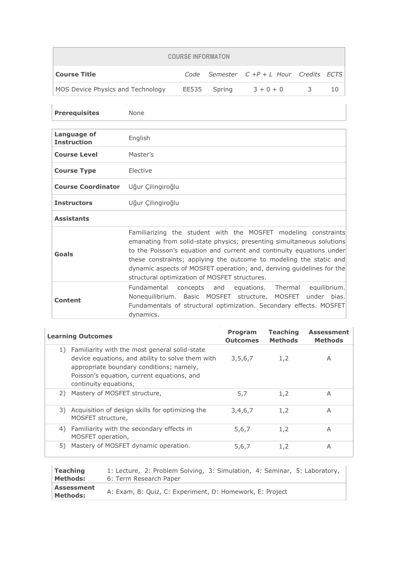| <b>COURSE INFORMATON</b>          |  |              |                                         |  |  |
|-----------------------------------|--|--------------|-----------------------------------------|--|--|
| Course Title                      |  |              | Code Semester $C+P+L$ Hour Credits ECTS |  |  |
| MOS Device Physics and Technology |  | EE535 Spring | $3 + 0 + 0$                             |  |  |

| <b>Prerequisites</b>              | None                                                                                                                                                                                                                                                                                                                                                                                                            |
|-----------------------------------|-----------------------------------------------------------------------------------------------------------------------------------------------------------------------------------------------------------------------------------------------------------------------------------------------------------------------------------------------------------------------------------------------------------------|
| Language of<br><b>Instruction</b> | English                                                                                                                                                                                                                                                                                                                                                                                                         |
| <b>Course Level</b>               | Master's                                                                                                                                                                                                                                                                                                                                                                                                        |
| <b>Course Type</b>                | Elective                                                                                                                                                                                                                                                                                                                                                                                                        |
| <b>Course Coordinator</b>         | Uğur Çilingiroğlu                                                                                                                                                                                                                                                                                                                                                                                               |
| <b>Instructors</b>                | Uğur Çilingiroğlu                                                                                                                                                                                                                                                                                                                                                                                               |
| <b>Assistants</b>                 |                                                                                                                                                                                                                                                                                                                                                                                                                 |
| Goals                             | Familiarizing the student with the MOSFET modeling constraints<br>emanating from solid-state physics; presenting simultaneous solutions<br>to the Poisson's equation and current and continuity equations under<br>these constraints; applying the outcome to modeling the static and<br>dynamic aspects of MOSFET operation; and, deriving guidelines for the<br>structural optimization of MOSFET structures. |
| <b>Content</b>                    | Fundamental concepts and equations. Thermal<br>equilibrium.<br>Nonequilibrium. Basic MOSFET structure. MOSFET under bias.<br>Fundamentals of structural optimization. Secondary effects. MOSFET<br>dynamics.                                                                                                                                                                                                    |

|    | <b>Learning Outcomes</b>                                                                                                                                                                                                | Program<br><b>Outcomes</b> | <b>Teaching</b><br><b>Methods</b> | <b>Assessment</b><br><b>Methods</b> |
|----|-------------------------------------------------------------------------------------------------------------------------------------------------------------------------------------------------------------------------|----------------------------|-----------------------------------|-------------------------------------|
|    | 1) Familiarity with the most general solid-state<br>device equations, and ability to solve them with<br>appropriate boundary conditions; namely,<br>Poisson's equation, current equations, and<br>continuity equations, | 3,5,6,7                    | 1,2                               | A                                   |
| 2) | Mastery of MOSFET structure,                                                                                                                                                                                            | 5,7                        | 1,2                               | A                                   |
|    | 3) Acquisition of design skills for optimizing the<br>MOSFET structure,                                                                                                                                                 | 3,4,6,7                    | 1,2                               | A                                   |
| 4) | Familiarity with the secondary effects in<br>MOSFET operation,                                                                                                                                                          | 5,6,7                      | 1,2                               | A                                   |
| 5) | Mastery of MOSFET dynamic operation.                                                                                                                                                                                    | 5,6,7                      | 1,2                               | A                                   |

| <b>Teaching</b>                      | 1: Lecture, 2: Problem Solving, 3: Simulation, 4: Seminar, 5: Laboratory, |
|--------------------------------------|---------------------------------------------------------------------------|
| Methods:                             | 6: Term Research Paper                                                    |
| <b>Assessment</b><br><b>Methods:</b> | A: Exam, B: Quiz, C: Experiment, D: Homework, E: Project                  |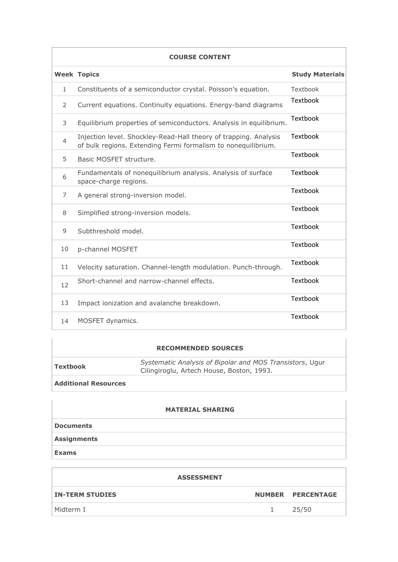| <b>COURSE CONTENT</b> |                                                                                                                                   |                        |  |  |
|-----------------------|-----------------------------------------------------------------------------------------------------------------------------------|------------------------|--|--|
|                       | <b>Week Topics</b>                                                                                                                | <b>Study Materials</b> |  |  |
| 1                     | Constituents of a semiconductor crystal. Poisson's equation.                                                                      | Textbook               |  |  |
| 2                     | Current equations. Continuity equations. Energy-band diagrams                                                                     | Textbook               |  |  |
| 3                     | Equilibrium properties of semiconductors. Analysis in equilibrium.                                                                | <b>Textbook</b>        |  |  |
| $\overline{4}$        | Injection level. Shockley-Read-Hall theory of trapping. Analysis<br>of bulk regions. Extending Fermi formalism to nonequilibrium. | Textbook               |  |  |
| 5                     | Basic MOSFFT structure.                                                                                                           | <b>Textbook</b>        |  |  |
| 6                     | Fundamentals of nonequilibrium analysis. Analysis of surface<br>space-charge regions.                                             | <b>Textbook</b>        |  |  |
| 7                     | A general strong-inversion model.                                                                                                 | Textbook               |  |  |
| 8                     | Simplified strong-inversion models.                                                                                               | <b>Textbook</b>        |  |  |
| 9                     | Subthreshold model.                                                                                                               | Textbook               |  |  |
| 10                    | p-channel MOSFET                                                                                                                  | <b>Textbook</b>        |  |  |
| 11                    | Velocity saturation. Channel-length modulation. Punch-through.                                                                    | Textbook               |  |  |
| 12                    | Short-channel and narrow-channel effects.                                                                                         | Textbook               |  |  |
| 13                    | Impact ionization and avalanche breakdown.                                                                                        | Textbook               |  |  |
| 14                    | MOSFET dynamics.                                                                                                                  | Textbook               |  |  |

## **RECOMMENDED SOURCES**

| Textbook                    | Systematic Analysis of Bipolar and MOS Transistors, Ugur<br>Cilingiroglu, Artech House, Boston, 1993. |
|-----------------------------|-------------------------------------------------------------------------------------------------------|
| <b>Additional Resources</b> |                                                                                                       |

## **MATERIAL SHARING Documents Assignments Exams**

| <b>ASSESSMENT</b>      |    |                   |  |  |  |
|------------------------|----|-------------------|--|--|--|
| <b>IN-TERM STUDIES</b> |    | NUMBER PERCENTAGE |  |  |  |
| Midterm I              | 1. | 25/50             |  |  |  |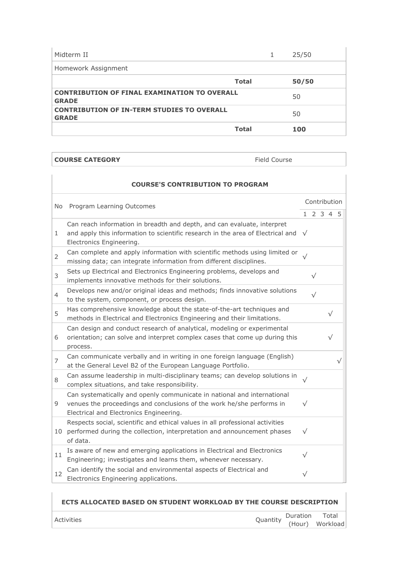| Midterm II                                                          |              | 25/50 |
|---------------------------------------------------------------------|--------------|-------|
| Homework Assignment                                                 |              |       |
|                                                                     | <b>Total</b> | 50/50 |
| <b>CONTRIBUTION OF FINAL EXAMINATION TO OVERALL</b><br><b>GRADE</b> |              | 50    |
| <b>CONTRIBUTION OF IN-TERM STUDIES TO OVERALL</b><br><b>GRADE</b>   |              | 50    |
|                                                                     | <b>Total</b> | 100   |

**COURSE CATEGORY Field Course** 

|                | <b>COURSE'S CONTRIBUTION TO PROGRAM</b>                                                                                                                                                          |           |              |  |           |  |
|----------------|--------------------------------------------------------------------------------------------------------------------------------------------------------------------------------------------------|-----------|--------------|--|-----------|--|
| No             | Program Learning Outcomes                                                                                                                                                                        |           | Contribution |  |           |  |
|                |                                                                                                                                                                                                  |           | 1 2 3 4 5    |  |           |  |
| 1              | Can reach information in breadth and depth, and can evaluate, interpret<br>and apply this information to scientific research in the area of Electrical and $\sqrt{}$<br>Electronics Engineering. |           |              |  |           |  |
| $\overline{2}$ | Can complete and apply information with scientific methods using limited or<br>missing data; can integrate information from different disciplines.                                               | $\sqrt{}$ |              |  |           |  |
| 3              | Sets up Electrical and Electronics Engineering problems, develops and<br>implements innovative methods for their solutions.                                                                      |           | $\sqrt{}$    |  |           |  |
| 4              | Develops new and/or original ideas and methods; finds innovative solutions<br>to the system, component, or process design.                                                                       |           | $\sqrt{}$    |  |           |  |
| 5              | Has comprehensive knowledge about the state-of-the-art techniques and<br>methods in Electrical and Electronics Engineering and their limitations.                                                |           |              |  | $\sqrt{}$ |  |
| 6              | Can design and conduct research of analytical, modeling or experimental<br>orientation; can solve and interpret complex cases that come up during this<br>process.                               |           |              |  |           |  |
| $\overline{7}$ | Can communicate verbally and in writing in one foreign language (English)<br>at the General Level B2 of the European Language Portfolio.                                                         |           |              |  |           |  |
| 8              | Can assume leadership in multi-disciplinary teams; can develop solutions in<br>complex situations, and take responsibility.                                                                      | $\sqrt{}$ |              |  |           |  |
| 9              | Can systematically and openly communicate in national and international<br>venues the proceedings and conclusions of the work he/she performs in<br>Electrical and Electronics Engineering.      | $\sqrt{}$ |              |  |           |  |
| 10             | Respects social, scientific and ethical values in all professional activities<br>performed during the collection, interpretation and announcement phases<br>of data.                             | $\sqrt{}$ |              |  |           |  |
| 11             | Is aware of new and emerging applications in Electrical and Electronics<br>Engineering; investigates and learns them, whenever necessary.                                                        | $\sqrt{}$ |              |  |           |  |
| 12             | Can identify the social and environmental aspects of Electrical and<br>Electronics Engineering applications.                                                                                     | $\sqrt{}$ |              |  |           |  |

## **ECTS ALLOCATED BASED ON STUDENT WORKLOAD BY THE COURSE DESCRIPTION**